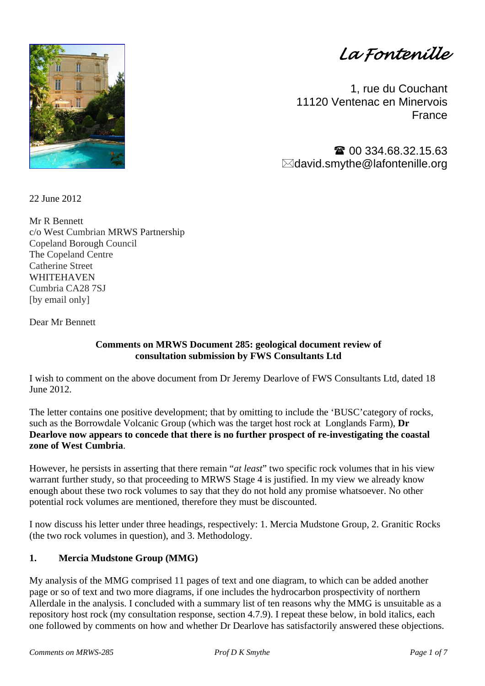*La Fontenille* 

1, rue du Couchant 11120 Ventenac en Minervois **France** 

 00 334.68.32.15.63  $\boxtimes$ david.smythe@lafontenille.org

22 June 2012

Mr R Bennett c/o West Cumbrian MRWS Partnership Copeland Borough Council The Copeland Centre Catherine Street WHITEHAVEN Cumbria CA28 7SJ [by email only]

Dear Mr Bennett

## **Comments on MRWS Document 285: geological document review of consultation submission by FWS Consultants Ltd**

I wish to comment on the above document from Dr Jeremy Dearlove of FWS Consultants Ltd, dated 18 June 2012.

The letter contains one positive development; that by omitting to include the 'BUSC'category of rocks, such as the Borrowdale Volcanic Group (which was the target host rock at Longlands Farm), **Dr Dearlove now appears to concede that there is no further prospect of re-investigating the coastal zone of West Cumbria**.

However, he persists in asserting that there remain "*at least*" two specific rock volumes that in his view warrant further study, so that proceeding to MRWS Stage 4 is justified. In my view we already know enough about these two rock volumes to say that they do not hold any promise whatsoever. No other potential rock volumes are mentioned, therefore they must be discounted.

I now discuss his letter under three headings, respectively: 1. Mercia Mudstone Group, 2. Granitic Rocks (the two rock volumes in question), and 3. Methodology.

## **1. Mercia Mudstone Group (MMG)**

My analysis of the MMG comprised 11 pages of text and one diagram, to which can be added another page or so of text and two more diagrams, if one includes the hydrocarbon prospectivity of northern Allerdale in the analysis. I concluded with a summary list of ten reasons why the MMG is unsuitable as a repository host rock (my consultation response, section 4.7.9). I repeat these below, in bold italics, each one followed by comments on how and whether Dr Dearlove has satisfactorily answered these objections.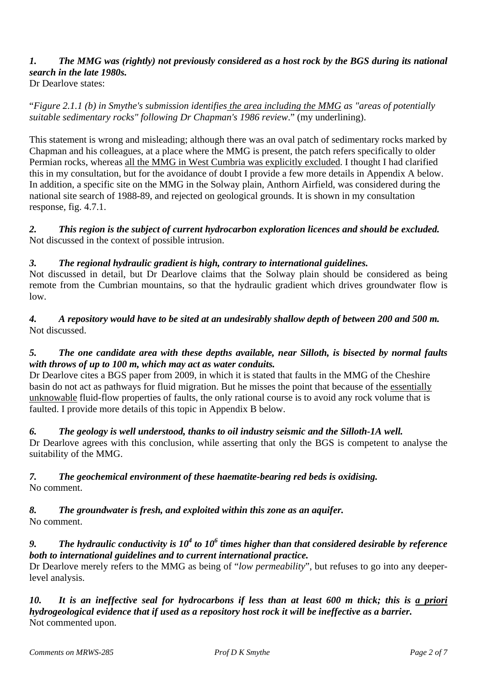# *1. The MMG was (rightly) not previously considered as a host rock by the BGS during its national search in the late 1980s.*

Dr Dearlove states:

"*Figure 2.1.1 (b) in Smythe's submission identifies the area including the MMG as "areas of potentially suitable sedimentary rocks" following Dr Chapman's 1986 review*." (my underlining).

This statement is wrong and misleading; although there was an oval patch of sedimentary rocks marked by Chapman and his colleagues, at a place where the MMG is present, the patch refers specifically to older Permian rocks, whereas all the MMG in West Cumbria was explicitly excluded. I thought I had clarified this in my consultation, but for the avoidance of doubt I provide a few more details in Appendix A below. In addition, a specific site on the MMG in the Solway plain, Anthorn Airfield, was considered during the national site search of 1988-89, and rejected on geological grounds. It is shown in my consultation response, fig. 4.7.1.

*2. This region is the subject of current hydrocarbon exploration licences and should be excluded.*  Not discussed in the context of possible intrusion.

## *3. The regional hydraulic gradient is high, contrary to international guidelines.*

Not discussed in detail, but Dr Dearlove claims that the Solway plain should be considered as being remote from the Cumbrian mountains, so that the hydraulic gradient which drives groundwater flow is low.

*4. A repository would have to be sited at an undesirably shallow depth of between 200 and 500 m.*  Not discussed.

## *5. The one candidate area with these depths available, near Silloth, is bisected by normal faults with throws of up to 100 m, which may act as water conduits.*

Dr Dearlove cites a BGS paper from 2009, in which it is stated that faults in the MMG of the Cheshire basin do not act as pathways for fluid migration. But he misses the point that because of the essentially unknowable fluid-flow properties of faults, the only rational course is to avoid any rock volume that is faulted. I provide more details of this topic in Appendix B below.

#### *6. The geology is well understood, thanks to oil industry seismic and the Silloth-1A well.*

Dr Dearlove agrees with this conclusion, while asserting that only the BGS is competent to analyse the suitability of the MMG.

# *7. The geochemical environment of these haematite-bearing red beds is oxidising.*

No comment.

#### *8. The groundwater is fresh, and exploited within this zone as an aquifer.*  No comment.

## 9. *The hydraulic conductivity is*  $10^4$  *to*  $10^6$  *times higher than that considered desirable by reference both to international guidelines and to current international practice.*

Dr Dearlove merely refers to the MMG as being of "*low permeability*", but refuses to go into any deeperlevel analysis.

*10. It is an ineffective seal for hydrocarbons if less than at least 600 m thick; this is a priori hydrogeological evidence that if used as a repository host rock it will be ineffective as a barrier.*  Not commented upon.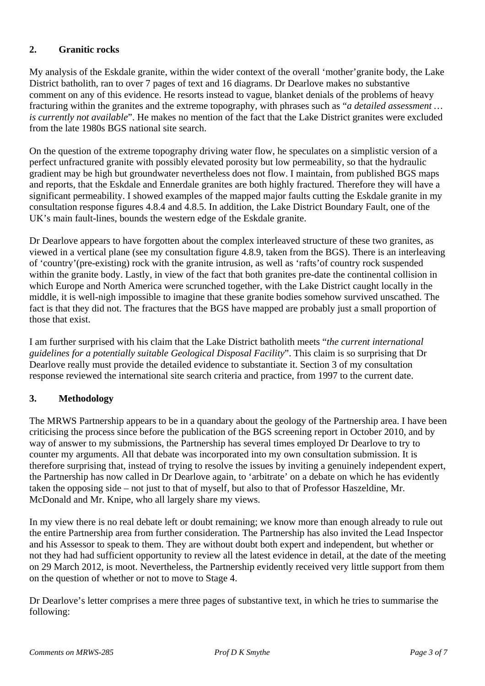## **2. Granitic rocks**

My analysis of the Eskdale granite, within the wider context of the overall 'mother'granite body, the Lake District batholith, ran to over 7 pages of text and 16 diagrams. Dr Dearlove makes no substantive comment on any of this evidence. He resorts instead to vague, blanket denials of the problems of heavy fracturing within the granites and the extreme topography, with phrases such as "*a detailed assessment … is currently not available*". He makes no mention of the fact that the Lake District granites were excluded from the late 1980s BGS national site search.

On the question of the extreme topography driving water flow, he speculates on a simplistic version of a perfect unfractured granite with possibly elevated porosity but low permeability, so that the hydraulic gradient may be high but groundwater nevertheless does not flow. I maintain, from published BGS maps and reports, that the Eskdale and Ennerdale granites are both highly fractured. Therefore they will have a significant permeability. I showed examples of the mapped major faults cutting the Eskdale granite in my consultation response figures 4.8.4 and 4.8.5. In addition, the Lake District Boundary Fault, one of the UK's main fault-lines, bounds the western edge of the Eskdale granite.

Dr Dearlove appears to have forgotten about the complex interleaved structure of these two granites, as viewed in a vertical plane (see my consultation figure 4.8.9, taken from the BGS). There is an interleaving of 'country'(pre-existing) rock with the granite intrusion, as well as 'rafts'of country rock suspended within the granite body. Lastly, in view of the fact that both granites pre-date the continental collision in which Europe and North America were scrunched together, with the Lake District caught locally in the middle, it is well-nigh impossible to imagine that these granite bodies somehow survived unscathed. The fact is that they did not. The fractures that the BGS have mapped are probably just a small proportion of those that exist.

I am further surprised with his claim that the Lake District batholith meets "*the current international guidelines for a potentially suitable Geological Disposal Facility*". This claim is so surprising that Dr Dearlove really must provide the detailed evidence to substantiate it. Section 3 of my consultation response reviewed the international site search criteria and practice, from 1997 to the current date.

## **3. Methodology**

The MRWS Partnership appears to be in a quandary about the geology of the Partnership area. I have been criticising the process since before the publication of the BGS screening report in October 2010, and by way of answer to my submissions, the Partnership has several times employed Dr Dearlove to try to counter my arguments. All that debate was incorporated into my own consultation submission. It is therefore surprising that, instead of trying to resolve the issues by inviting a genuinely independent expert, the Partnership has now called in Dr Dearlove again, to 'arbitrate' on a debate on which he has evidently taken the opposing side – not just to that of myself, but also to that of Professor Haszeldine, Mr. McDonald and Mr. Knipe, who all largely share my views.

In my view there is no real debate left or doubt remaining; we know more than enough already to rule out the entire Partnership area from further consideration. The Partnership has also invited the Lead Inspector and his Assessor to speak to them. They are without doubt both expert and independent, but whether or not they had had sufficient opportunity to review all the latest evidence in detail, at the date of the meeting on 29 March 2012, is moot. Nevertheless, the Partnership evidently received very little support from them on the question of whether or not to move to Stage 4.

Dr Dearlove's letter comprises a mere three pages of substantive text, in which he tries to summarise the following: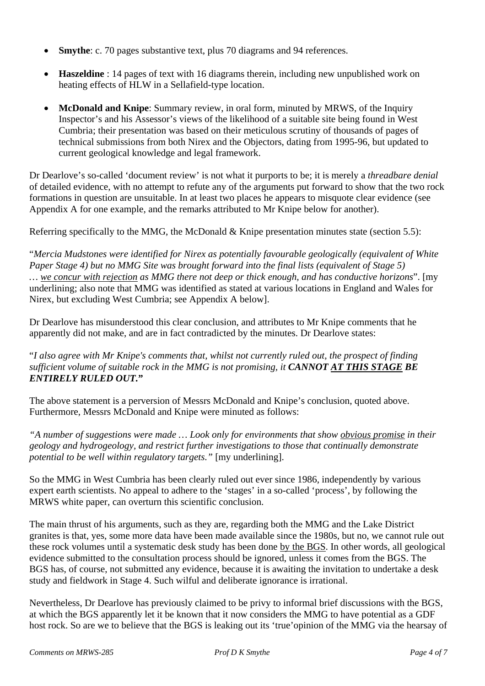- **Smythe**: c. 70 pages substantive text, plus 70 diagrams and 94 references.
- **Haszeldine** : 14 pages of text with 16 diagrams therein, including new unpublished work on heating effects of HLW in a Sellafield-type location.
- **McDonald and Knipe**: Summary review, in oral form, minuted by MRWS, of the Inquiry Inspector's and his Assessor's views of the likelihood of a suitable site being found in West Cumbria; their presentation was based on their meticulous scrutiny of thousands of pages of technical submissions from both Nirex and the Objectors, dating from 1995-96, but updated to current geological knowledge and legal framework.

Dr Dearlove's so-called 'document review' is not what it purports to be; it is merely a *threadbare denial* of detailed evidence, with no attempt to refute any of the arguments put forward to show that the two rock formations in question are unsuitable. In at least two places he appears to misquote clear evidence (see Appendix A for one example, and the remarks attributed to Mr Knipe below for another).

Referring specifically to the MMG, the McDonald & Knipe presentation minutes state (section 5.5):

"*Mercia Mudstones were identified for Nirex as potentially favourable geologically (equivalent of White Paper Stage 4) but no MMG Site was brought forward into the final lists (equivalent of Stage 5) … we concur with rejection as MMG there not deep or thick enough, and has conductive horizons*". [my underlining; also note that MMG was identified as stated at various locations in England and Wales for Nirex, but excluding West Cumbria; see Appendix A below].

Dr Dearlove has misunderstood this clear conclusion, and attributes to Mr Knipe comments that he apparently did not make, and are in fact contradicted by the minutes. Dr Dearlove states:

"*I also agree with Mr Knipe's comments that, whilst not currently ruled out, the prospect of finding sufficient volume of suitable rock in the MMG is not promising, it CANNOT AT THIS STAGE BE ENTIRELY RULED OUT.***"**

The above statement is a perversion of Messrs McDonald and Knipe's conclusion, quoted above. Furthermore, Messrs McDonald and Knipe were minuted as follows:

*"A number of suggestions were made … Look only for environments that show obvious promise in their geology and hydrogeology, and restrict further investigations to those that continually demonstrate potential to be well within regulatory targets."* [my underlining].

So the MMG in West Cumbria has been clearly ruled out ever since 1986, independently by various expert earth scientists. No appeal to adhere to the 'stages' in a so-called 'process', by following the MRWS white paper, can overturn this scientific conclusion.

The main thrust of his arguments, such as they are, regarding both the MMG and the Lake District granites is that, yes, some more data have been made available since the 1980s, but no, we cannot rule out these rock volumes until a systematic desk study has been done by the BGS. In other words, all geological evidence submitted to the consultation process should be ignored, unless it comes from the BGS. The BGS has, of course, not submitted any evidence, because it is awaiting the invitation to undertake a desk study and fieldwork in Stage 4. Such wilful and deliberate ignorance is irrational.

Nevertheless, Dr Dearlove has previously claimed to be privy to informal brief discussions with the BGS, at which the BGS apparently let it be known that it now considers the MMG to have potential as a GDF host rock. So are we to believe that the BGS is leaking out its 'true'opinion of the MMG via the hearsay of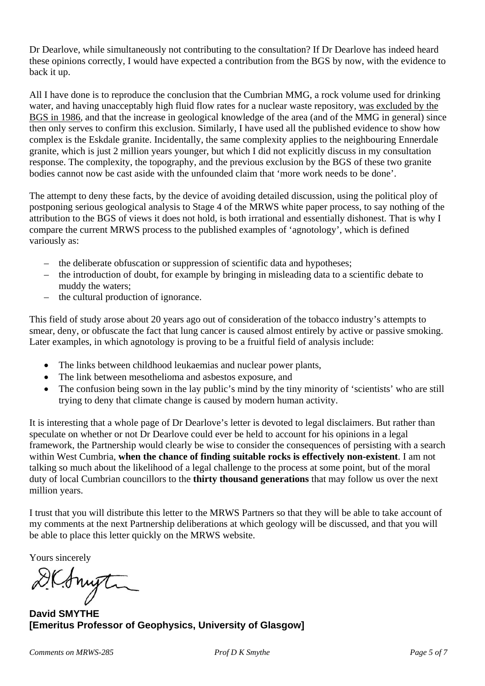Dr Dearlove, while simultaneously not contributing to the consultation? If Dr Dearlove has indeed heard these opinions correctly, I would have expected a contribution from the BGS by now, with the evidence to back it up.

All I have done is to reproduce the conclusion that the Cumbrian MMG, a rock volume used for drinking water, and having unacceptably high fluid flow rates for a nuclear waste repository, was excluded by the BGS in 1986, and that the increase in geological knowledge of the area (and of the MMG in general) since then only serves to confirm this exclusion. Similarly, I have used all the published evidence to show how complex is the Eskdale granite. Incidentally, the same complexity applies to the neighbouring Ennerdale granite, which is just 2 million years younger, but which I did not explicitly discuss in my consultation response. The complexity, the topography, and the previous exclusion by the BGS of these two granite bodies cannot now be cast aside with the unfounded claim that 'more work needs to be done'.

The attempt to deny these facts, by the device of avoiding detailed discussion, using the political ploy of postponing serious geological analysis to Stage 4 of the MRWS white paper process, to say nothing of the attribution to the BGS of views it does not hold, is both irrational and essentially dishonest. That is why I compare the current MRWS process to the published examples of 'agnotology', which is defined variously as:

- the deliberate obfuscation or suppression of scientific data and hypotheses;
- the introduction of doubt, for example by bringing in misleading data to a scientific debate to muddy the waters;
- the cultural production of ignorance.

This field of study arose about 20 years ago out of consideration of the tobacco industry's attempts to smear, deny, or obfuscate the fact that lung cancer is caused almost entirely by active or passive smoking. Later examples, in which agnotology is proving to be a fruitful field of analysis include:

- The links between childhood leukaemias and nuclear power plants,
- The link between mesothelioma and asbestos exposure, and
- The confusion being sown in the lay public's mind by the tiny minority of 'scientists' who are still trying to deny that climate change is caused by modern human activity.

It is interesting that a whole page of Dr Dearlove's letter is devoted to legal disclaimers. But rather than speculate on whether or not Dr Dearlove could ever be held to account for his opinions in a legal framework, the Partnership would clearly be wise to consider the consequences of persisting with a search within West Cumbria, **when the chance of finding suitable rocks is effectively non-existent**. I am not talking so much about the likelihood of a legal challenge to the process at some point, but of the moral duty of local Cumbrian councillors to the **thirty thousand generations** that may follow us over the next million years.

I trust that you will distribute this letter to the MRWS Partners so that they will be able to take account of my comments at the next Partnership deliberations at which geology will be discussed, and that you will be able to place this letter quickly on the MRWS website.

Yours sincerely

DKAnyti

**David SMYTHE [Emeritus Professor of Geophysics, University of Glasgow]**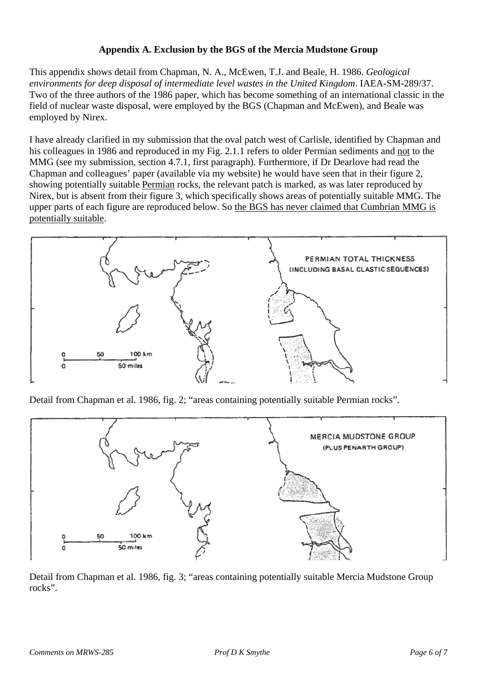## **Appendix A. Exclusion by the BGS of the Mercia Mudstone Group**

This appendix shows detail from Chapman, N. A., McEwen, T.J. and Beale, H. 1986. *Geological environments for deep disposal of intermediate level wastes in the United Kingdom*. IAEA-SM-289/37. Two of the three authors of the 1986 paper, which has become something of an international classic in the field of nuclear waste disposal, were employed by the BGS (Chapman and McEwen), and Beale was employed by Nirex.

I have already clarified in my submission that the oval patch west of Carlisle, identified by Chapman and his colleagues in 1986 and reproduced in my Fig. 2.1.1 refers to older Permian sediments and not to the MMG (see my submission, section 4.7.1, first paragraph). Furthermore, if Dr Dearlove had read the Chapman and colleagues' paper (available via my website) he would have seen that in their figure 2, showing potentially suitable Permian rocks, the relevant patch is marked, as was later reproduced by Nirex, but is absent from their figure 3, which specifically shows areas of potentially suitable MMG. The upper parts of each figure are reproduced below. So the BGS has never claimed that Cumbrian MMG is potentially suitable.



Detail from Chapman et al. 1986, fig. 2; "areas containing potentially suitable Permian rocks".



Detail from Chapman et al. 1986, fig. 3; "areas containing potentially suitable Mercia Mudstone Group rocks".